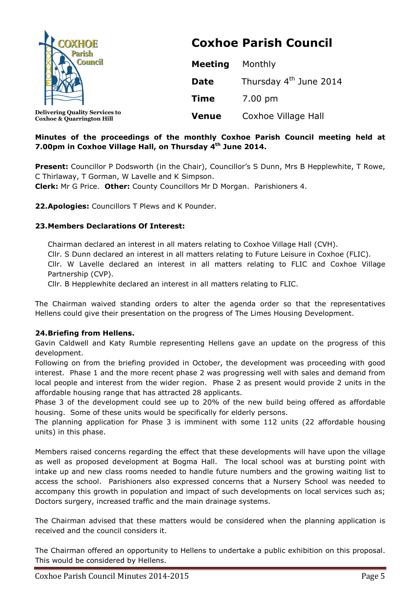| <b>COXHOE</b><br><b>Parish</b><br><b>Council</b>                              | <b>Coxhoe Parish Council</b> |                                    |  |
|-------------------------------------------------------------------------------|------------------------------|------------------------------------|--|
|                                                                               | <b>Meeting</b>               | Monthly                            |  |
|                                                                               | <b>Date</b>                  | Thursday 4 <sup>th</sup> June 2014 |  |
|                                                                               | <b>Time</b>                  | 7.00 pm                            |  |
| <b>Delivering Quality Services to</b><br><b>Coxhoe &amp; Quarrington Hill</b> | <b>Venue</b>                 | Coxhoe Village Hall                |  |

# **Minutes of the proceedings of the monthly Coxhoe Parish Council meeting held at 7.00pm in Coxhoe Village Hall, on Thursday 4th June 2014.**

**Present:** Councillor P Dodsworth (in the Chair), Councillor's S Dunn, Mrs B Hepplewhite, T Rowe, C Thirlaway, T Gorman, W Lavelle and K Simpson.

**Clerk:** Mr G Price. **Other:** County Councillors Mr D Morgan. Parishioners 4.

**22.Apologies:** Councillors T Plews and K Pounder.

# **23.Members Declarations Of Interest:**

Chairman declared an interest in all maters relating to Coxhoe Village Hall (CVH). Cllr. S Dunn declared an interest in all matters relating to Future Leisure in Coxhoe (FLIC). Cllr. W Lavelle declared an interest in all matters relating to FLIC and Coxhoe Village Partnership (CVP).

Cllr. B Hepplewhite declared an interest in all matters relating to FLIC.

The Chairman waived standing orders to alter the agenda order so that the representatives Hellens could give their presentation on the progress of The Limes Housing Development.

### **24.Briefing from Hellens.**

Gavin Caldwell and Katy Rumble representing Hellens gave an update on the progress of this development.

Following on from the briefing provided in October, the development was proceeding with good interest. Phase 1 and the more recent phase 2 was progressing well with sales and demand from local people and interest from the wider region. Phase 2 as present would provide 2 units in the affordable housing range that has attracted 28 applicants.

Phase 3 of the development could see up to 20% of the new build being offered as affordable housing. Some of these units would be specifically for elderly persons.

The planning application for Phase 3 is imminent with some 112 units (22 affordable housing units) in this phase.

Members raised concerns regarding the effect that these developments will have upon the village as well as proposed development at Bogma Hall. The local school was at bursting point with intake up and new class rooms needed to handle future numbers and the growing waiting list to access the school. Parishioners also expressed concerns that a Nursery School was needed to accompany this growth in population and impact of such developments on local services such as; Doctors surgery, increased traffic and the main drainage systems.

The Chairman advised that these matters would be considered when the planning application is received and the council considers it.

The Chairman offered an opportunity to Hellens to undertake a public exhibition on this proposal. This would be considered by Hellens.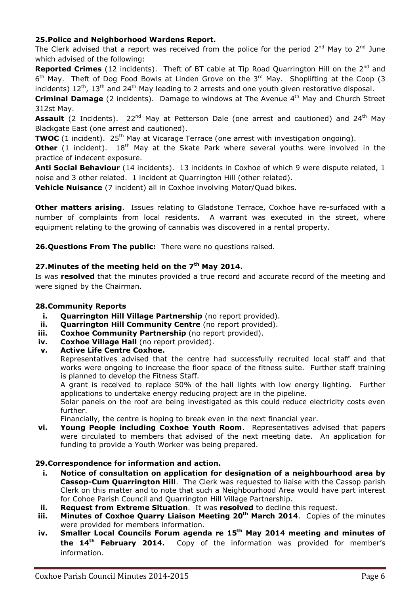# **25.Police and Neighborhood Wardens Report.**

The Clerk advised that a report was received from the police for the period  $2^{nd}$  May to  $2^{nd}$  June which advised of the following:

**Reported Crimes** (12 incidents). Theft of BT cable at Tip Road Quarrington Hill on the 2<sup>nd</sup> and 6<sup>th</sup> May. Theft of Dog Food Bowls at Linden Grove on the 3<sup>rd</sup> May. Shoplifting at the Coop (3 incidents)  $12^{th}$ ,  $13^{th}$  and  $24^{th}$  May leading to 2 arrests and one youth given restorative disposal.

**Criminal Damage** (2 incidents). Damage to windows at The Avenue 4<sup>th</sup> May and Church Street 312st May.

Assault (2 Incidents). 22<sup>nd</sup> May at Petterson Dale (one arrest and cautioned) and 24<sup>th</sup> May Blackgate East (one arrest and cautioned).

**TWOC** (1 incident). 25<sup>th</sup> May at Vicarage Terrace (one arrest with investigation ongoing).

**Other** (1 incident). 18<sup>th</sup> May at the Skate Park where several youths were involved in the practice of indecent exposure.

**Anti Social Behaviour** (14 incidents). 13 incidents in Coxhoe of which 9 were dispute related, 1 noise and 3 other related. 1 incident at Quarrington Hill (other related).

**Vehicle Nuisance** (7 incident) all in Coxhoe involving Motor/Quad bikes.

**Other matters arising**. Issues relating to Gladstone Terrace, Coxhoe have re-surfaced with a number of complaints from local residents. A warrant was executed in the street, where equipment relating to the growing of cannabis was discovered in a rental property.

**26.Questions From The public:** There were no questions raised.

# **27.Minutes of the meeting held on the 7th May 2014.**

Is was **resolved** that the minutes provided a true record and accurate record of the meeting and were signed by the Chairman.

### **28.Community Reports**

- **i. Quarrington Hill Village Partnership** (no report provided).<br>**ii. Quarrington Hill Community Centre** (no report provided)
- **Quarrington Hill Community Centre** (no report provided).
- **iii. Coxhoe Community Partnership** (no report provided).
- **iv. Coxhoe Village Hall** (no report provided).
- **v. Active Life Centre Coxhoe.**

Representatives advised that the centre had successfully recruited local staff and that works were ongoing to increase the floor space of the fitness suite. Further staff training is planned to develop the Fitness Staff.

A grant is received to replace 50% of the hall lights with low energy lighting. Further applications to undertake energy reducing project are in the pipeline.

Solar panels on the roof are being investigated as this could reduce electricity costs even further.

Financially, the centre is hoping to break even in the next financial year.

**vi. Young People including Coxhoe Youth Room**. Representatives advised that papers were circulated to members that advised of the next meeting date. An application for funding to provide a Youth Worker was being prepared.

### **29.Correspondence for information and action.**

- **i. Notice of consultation on application for designation of a neighbourhood area by Cassop-Cum Quarrington Hill**. The Clerk was requested to liaise with the Cassop parish Clerk on this matter and to note that such a Neighbourhood Area would have part interest for Cohoe Parish Council and Quarrington Hill Village Partnership.
- **ii. Request from Extreme Situation**. It was **resolved** to decline this request.
- **iii. Minutes of Coxhoe Quarry Liaison Meeting 20th March 2014**. Copies of the minutes were provided for members information.
- **iv. Smaller Local Councils Forum agenda re 15th May 2014 meeting and minutes of the 14th February 2014.** Copy of the information was provided for member's information.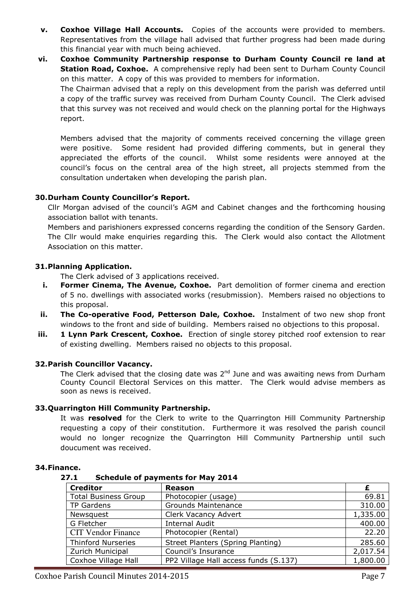- **v. Coxhoe Village Hall Accounts.** Copies of the accounts were provided to members. Representatives from the village hall advised that further progress had been made during this financial year with much being achieved.
- **vi. Coxhoe Community Partnership response to Durham County Council re land at Station Road, Coxhoe.** A comprehensive reply had been sent to Durham County Council on this matter. A copy of this was provided to members for information. The Chairman advised that a reply on this development from the parish was deferred until a copy of the traffic survey was received from Durham County Council. The Clerk advised that this survey was not received and would check on the planning portal for the Highways report.

Members advised that the majority of comments received concerning the village green were positive. Some resident had provided differing comments, but in general they appreciated the efforts of the council. Whilst some residents were annoyed at the council's focus on the central area of the high street, all projects stemmed from the consultation undertaken when developing the parish plan.

### **30.Durham County Councillor's Report.**

Cllr Morgan advised of the council's AGM and Cabinet changes and the forthcoming housing association ballot with tenants.

Members and parishioners expressed concerns regarding the condition of the Sensory Garden. The Cllr would make enquiries regarding this. The Clerk would also contact the Allotment Association on this matter.

#### **31.Planning Application.**

The Clerk advised of 3 applications received.

- **i.** Former Cinema, The Avenue, Coxhoe. Part demolition of former cinema and erection of 5 no. dwellings with associated works (resubmission). Members raised no objections to this proposal.
- **ii. The Co-operative Food, Petterson Dale, Coxhoe.** Instalment of two new shop front windows to the front and side of building. Members raised no objections to this proposal.
- **iii. 1 Lynn Park Crescent, Coxhoe.** Erection of single storey pitched roof extension to rear of existing dwelling. Members raised no objects to this proposal.

### **32.Parish Councillor Vacancy.**

The Clerk advised that the closing date was  $2^{nd}$  June and was awaiting news from Durham County Council Electoral Services on this matter. The Clerk would advise members as soon as news is received.

#### **33.Quarrington Hill Community Partnership.**

It was **resolved** for the Clerk to write to the Quarrington Hill Community Partnership requesting a copy of their constitution. Furthermore it was resolved the parish council would no longer recognize the Quarrington Hill Community Partnership until such doucument was received.

#### **34.Finance.**

#### **27.1 Schedule of payments for May 2014**

| <b>Creditor</b>             | <b>Reason</b>                         |          |
|-----------------------------|---------------------------------------|----------|
| <b>Total Business Group</b> | Photocopier (usage)                   | 69.81    |
| <b>TP Gardens</b>           | <b>Grounds Maintenance</b>            | 310.00   |
| Newsquest                   | Clerk Vacancy Advert                  | 1,335.00 |
| G Fletcher                  | <b>Internal Audit</b>                 | 400.00   |
| <b>CIT Vendor Finance</b>   | Photocopier (Rental)                  | 22.20    |
| <b>Thinford Nurseries</b>   | Street Planters (Spring Planting)     | 285.60   |
| Zurich Municipal            | Council's Insurance                   | 2,017.54 |
| Coxhoe Village Hall         | PP2 Village Hall access funds (S.137) | 1,800.00 |